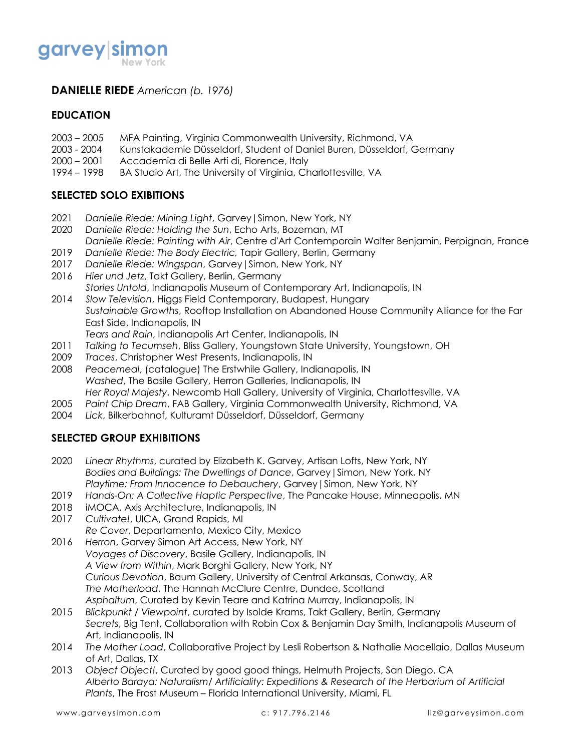

### **DANIELLE RIEDE** *American (b. 1976)*

#### **EDUCATION**

- 2003 2005 MFA Painting, Virginia Commonwealth University, Richmond, VA
- 2003 2004 Kunstakademie Düsseldorf, Student of Daniel Buren, Düsseldorf, Germany
- 2000 2001 Accademia di Belle Arti di, Florence, Italy
- 1994 1998 BA Studio Art, The University of Virginia, Charlottesville, VA

### **SELECTED SOLO EXIBITIONS**

- 2021 *Danielle Riede: Mining Light*, Garvey|Simon, New York, NY
- 2020 *Danielle Riede: Holding the Sun*, Echo Arts, Bozeman, MT *Danielle Riede: Painting with Air*, Centre d'Art Contemporain Walter Benjamin, Perpignan, France
- 2019 *Danielle Riede: The Body Electric,* Tapir Gallery, Berlin, Germany
- 2017 *Danielle Riede: Wingspan*, Garvey|Simon, New York, NY
- 2016 *Hier und Jetz*, Takt Gallery, Berlin, Germany *Stories Untold*, Indianapolis Museum of Contemporary Art, Indianapolis, IN
- 2014 *Slow Television*, Higgs Field Contemporary, Budapest, Hungary *Sustainable Growths*, Rooftop Installation on Abandoned House Community Alliance for the Far East Side, Indianapolis, IN *Tears and Rain*, Indianapolis Art Center, Indianapolis, IN
- 2011 *Talking to Tecumseh*, Bliss Gallery, Youngstown State University, Youngstown, OH
- 2009 *Traces*, Christopher West Presents, Indianapolis, IN
- 2008 *Peacemeal*, (catalogue) The Erstwhile Gallery, Indianapolis, IN *Washed*, The Basile Gallery, Herron Galleries, Indianapolis, IN *Her Royal Majesty*, Newcomb Hall Gallery, University of Virginia, Charlottesville, VA
- 2005 *Paint Chip Dream*, FAB Gallery, Virginia Commonwealth University, Richmond, VA
- 2004 *Lick*, Bilkerbahnof, Kulturamt Düsseldorf, Düsseldorf, Germany

### **SELECTED GROUP EXHIBITIONS**

- 2020 *Linear Rhythms*, curated by Elizabeth K. Garvey, Artisan Lofts, New York, NY *Bodies and Buildings: The Dwellings of Dance*, Garvey|Simon, New York, NY *Playtime: From Innocence to Debauchery*, Garvey|Simon, New York, NY
- 2019 *Hands-On: A Collective Haptic Perspective*, The Pancake House, Minneapolis, MN
- 2018 iMOCA, Axis Architecture, Indianapolis, IN
- 2017 *Cultivate!*, UICA, Grand Rapids, MI
- *Re Cover*, Departamento, Mexico City, Mexico
- 2016 *Herron*, Garvey Simon Art Access, New York, NY *Voyages of Discovery*, Basile Gallery, Indianapolis, IN *A View from Within*, Mark Borghi Gallery, New York, NY *Curious Devotion*, Baum Gallery, University of Central Arkansas, Conway, AR *The Motherload*, The Hannah McClure Centre, Dundee, Scotland *Asphaltum*, Curated by Kevin Teare and Katrina Murray, Indianapolis, IN
- 2015 *Blickpunkt / Viewpoint*, curated by Isolde Krams, Takt Gallery, Berlin, Germany *Secrets*, Big Tent, Collaboration with Robin Cox & Benjamin Day Smith, Indianapolis Museum of Art, Indianapolis, IN
- 2014 *The Mother Load*, Collaborative Project by Lesli Robertson & Nathalie Macellaio, Dallas Museum of Art, Dallas, TX
- 2013 *Object Object!*, Curated by good good things, Helmuth Projects, San Diego, CA *Alberto Baraya: Naturalism/ Artificiality: Expeditions & Research of the Herbarium of Artificial Plants*, The Frost Museum – Florida International University, Miami, FL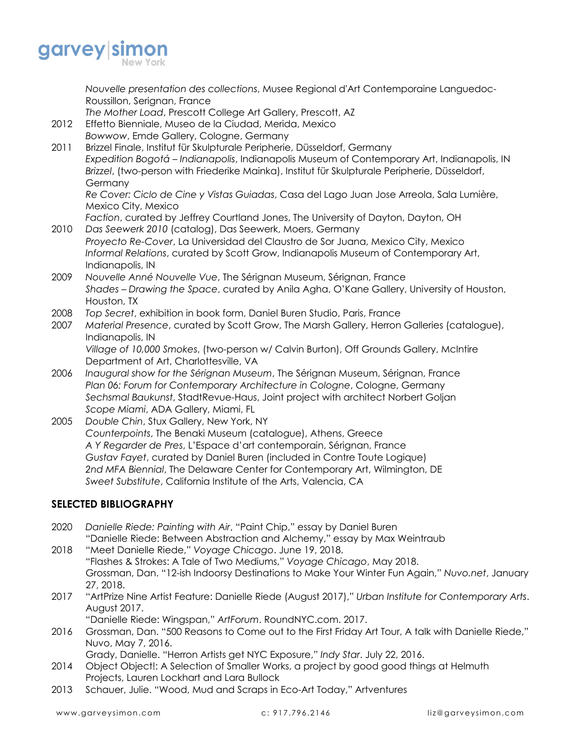

*Nouvelle presentation des collections*, Musee Regional d'Art Contemporaine Languedoc-Roussillon, Serignan, France

- *The Mother Load*, Prescott College Art Gallery, Prescott, AZ
- 2012 Effetto Bienniale, Museo de la Ciudad, Merida, Mexico *Bowwow*, Emde Gallery, Cologne, Germany
- 2011 Brizzel Finale, Institut für Skulpturale Peripherie, Düsseldorf, Germany *Expedition Bogotá – Indianapolis*, Indianapolis Museum of Contemporary Art, Indianapolis, IN *Brizzel*, (two-person with Friederike Mainka), Institut für Skulpturale Peripherie, Düsseldorf, Germany

*Re Cover: Ciclo de Cine y Vistas Guiadas*, Casa del Lago Juan Jose Arreola, Sala Lumière, Mexico City, Mexico

- *Faction*, curated by Jeffrey Courtland Jones, The University of Dayton, Dayton, OH 2010 *Das Seewerk 2010* (catalog), Das Seewerk, Moers, Germany
- *Proyecto Re-Cover*, La Universidad del Claustro de Sor Juana, Mexico City, Mexico *Informal Relations*, curated by Scott Grow, Indianapolis Museum of Contemporary Art, Indianapolis, IN
- 2009 *Nouvelle Anné Nouvelle Vue*, The Sérignan Museum, Sérignan, France *Shades – Drawing the Space*, curated by Anila Agha, O'Kane Gallery, University of Houston, Houston, TX
- 2008 *Top Secret*, exhibition in book form, Daniel Buren Studio, Paris, France
- 2007 *Material Presence*, curated by Scott Grow, The Marsh Gallery, Herron Galleries (catalogue), Indianapolis, IN

*Village of 10,000 Smokes*, (two-person w/ Calvin Burton), Off Grounds Gallery, McIntire Department of Art, Charlottesville, VA

- 2006 *Inaugural show for the Sérignan Museum*, The Sérignan Museum, Sérignan, France *Plan 06: Forum for Contemporary Architecture in Cologne*, Cologne, Germany *Sechsmal Baukunst*, StadtRevue-Haus, Joint project with architect Norbert Goljan *Scope Miami*, ADA Gallery, Miami, FL
- 2005 *Double Chin*, Stux Gallery, New York, NY *Counterpoints*, The Benaki Museum (catalogue), Athens, Greece *A Y Regarder de Pres*, L'Espace d'art contemporain, Sérignan, France *Gustav Fayet*, curated by Daniel Buren (included in Contre Toute Logique) *2nd MFA Biennial*, The Delaware Center for Contemporary Art, Wilmington, DE *Sweet Substitute*, California Institute of the Arts, Valencia, CA

### **SELECTED BIBLIOGRAPHY**

- 2020 *Danielle Riede: Painting with Air*, "Paint Chip," essay by Daniel Buren "Danielle Riede: Between Abstraction and Alchemy," essay by Max Weintraub
- 2018 "Meet Danielle Riede," *Voyage Chicago*. June 19, 2018. "Flashes & Strokes: A Tale of Two Mediums," *Voyage Chicago*, May 2018. Grossman, Dan. "12-ish Indoorsy Destinations to Make Your Winter Fun Again," *Nuvo.net*, January 27, 2018.
- 2017 "ArtPrize Nine Artist Feature: Danielle Riede (August 2017)," *Urban Institute for Contemporary Arts*. August 2017.
	- "Danielle Riede: Wingspan," *ArtForum*. RoundNYC.com. 2017.
- 2016 Grossman, Dan. "500 Reasons to Come out to the First Friday Art Tour, A talk with Danielle Riede," Nuvo, May 7, 2016.

Grady, Danielle. "Herron Artists get NYC Exposure," *Indy Star*. July 22, 2016.

- 2014 Object Object!: A Selection of Smaller Works, a project by good good things at Helmuth Projects, Lauren Lockhart and Lara Bullock
- 2013 Schauer, Julie. "Wood, Mud and Scraps in Eco-Art Today," Artventures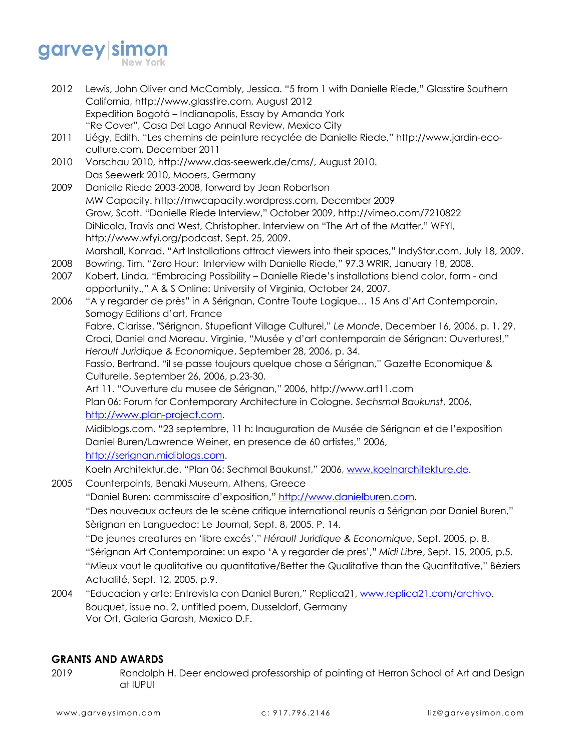# garvey simon

- 2012 Lewis, John Oliver and McCambly, Jessica. "5 from 1 with Danielle Riede," Glasstire Southern California, http://www.glasstire.com, August 2012 Expedition Bogotá – Indianapolis, Essay by Amanda York "Re Cover", Casa Del Lago Annual Review, Mexico City
- 2011 Liégy, Edith. "Les chemins de peinture recyclée de Danielle Riede," http://www.jardin-ecoculture.com, December 2011
- 2010 Vorschau 2010, http://www.das-seewerk.de/cms/, August 2010. Das Seewerk 2010, Mooers, Germany
- 2009 Danielle Riede 2003-2008, forward by Jean Robertson MW Capacity. http://mwcapacity.wordpress.com, December 2009 Grow, Scott. "Danielle Riede Interview," October 2009, http://vimeo.com/7210822 DiNicola, Travis and West, Christopher. Interview on "The Art of the Matter," WFYI, http://www.wfyi.org/podcast, Sept. 25, 2009. Marshall, Konrad. "Art Installations attract viewers into their spaces," IndyStar.com, July 18, 2009.
- 2008 Bowring, Tim. "Zero Hour: Interview with Danielle Riede," 97.3 WRIR, January 18, 2008.
- 2007 Kobert, Linda. "Embracing Possibility Danielle Riede's installations blend color, form and opportunity.," A & S Online: University of Virginia, October 24, 2007.
- 2006 "A y regarder de près" in A Sérignan, Contre Toute Logique… 15 Ans d'Art Contemporain, Somogy Editions d'art, France

Fabre, Clarisse. "Sérignan, Stupefiant Village Culturel," *Le Monde*, December 16, 2006, p. 1, 29. Croci, Daniel and Moreau. Virginie, "Musée y d'art contemporain de Sérignan: Ouvertures!," *Herault Juridique & Economique*, September 28, 2006, p. 34.

Fassio, Bertrand. "il se passe toujours quelque chose a Sérignan," Gazette Economique & Culturelle, September 26, 2006, p.23-30.

Art 11. "Ouverture du musee de Sérignan," 2006, http://www.art11.com

Plan 06: Forum for Contemporary Architecture in Cologne. *Sechsmal Baukunst*, 2006, http://www.plan-project.com.

Midiblogs.com. "23 septembre, 11 h: Inauguration de Musée de Sérignan et de l'exposition Daniel Buren/Lawrence Weiner, en presence de 60 artistes," 2006, http://serignan.midiblogs.com.

Koeln Architektur.de. "Plan 06: Sechmal Baukunst," 2006, www.koelnarchitekture.de.

2005 Counterpoints, Benaki Museum, Athens, Greece

"Daniel Buren: commissaire d'exposition," http://www.danielburen.com.

"Des nouveaux acteurs de le scène critique international reunis a Sérignan par Daniel Buren," Sèrignan en Languedoc: Le Journal, Sept. 8, 2005. P. 14.

"De jeunes creatures en 'libre excés'," *Hérault Juridique & Economique*, Sept. 2005, p. 8.

"Sérignan Art Contemporaine: un expo 'A y regarder de pres'," *Midi Libre*, Sept. 15, 2005, p.5. "Mieux vaut le qualitative au quantitative/Better the Qualitative than the Quantitative," Béziers Actualité, Sept. 12, 2005, p.9.

2004 "Educacion y arte: Entrevista con Daniel Buren," Replica21, www.replica21.com/archivo. Bouquet, issue no. 2, untitled poem, Dusseldorf, Germany Vor Ort, Galeria Garash, Mexico D.F.

### **GRANTS AND AWARDS**

2019 Randolph H. Deer endowed professorship of painting at Herron School of Art and Design at IUPUI